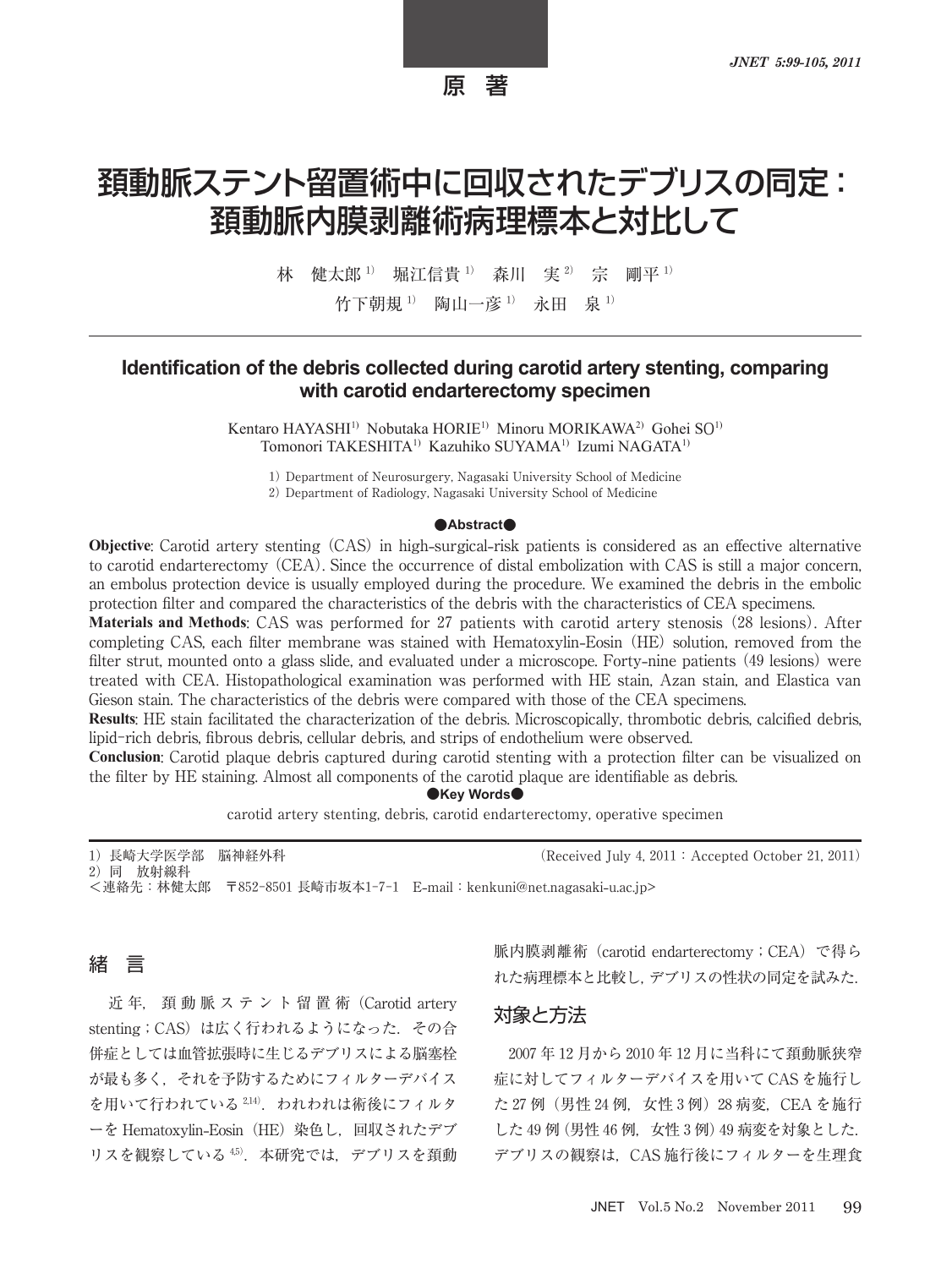## 原 著

# 頚動脈ステント留置術中に回収されたデブリスの同定: 頚動脈内膜剥離術病理標本と対比して

林 健太郎<sup>1)</sup> 堀江信貴<sup>1)</sup> 森川 実<sup>2)</sup> 宗 剛平<sup>1)</sup>

竹下朝規<sup>1)</sup> 陶山一彦<sup>1)</sup> 永田 泉<sup>1)</sup>

## **Identification of the debris collected during carotid artery stenting, comparing with carotid endarterectomy specimen**

Kentaro HAYASHI<sup>1)</sup> Nobutaka HORIE<sup>1)</sup> Minoru MORIKAWA<sup>2)</sup> Gohei SO<sup>1)</sup> Tomonori TAKESHITA1) Kazuhiko SUYAMA1) Izumi NAGATA1)

1) Department of Neurosurgery, Nagasaki University School of Medicine 2) Department of Radiology, Nagasaki University School of Medicine

#### **●Abstract●**

**Objective**: Carotid artery stenting (CAS) in high**-**surgical**-**risk patients is considered as an effective alternative to carotid endarterectomy (CEA). Since the occurrence of distal embolization with CAS is still a major concern, an embolus protection device is usually employed during the procedure. We examined the debris in the embolic protection filter and compared the characteristics of the debris with the characteristics of CEA specimens.

**Materials and Methods**: CAS was performed for 27 patients with carotid artery stenosis (28 lesions). After completing CAS, each filter membrane was stained with Hematoxylin**-**Eosin (HE) solution, removed from the filter strut, mounted onto a glass slide, and evaluated under a microscope. Forty**-**nine patients (49 lesions) were treated with CEA. Histopathological examination was performed with HE stain, Azan stain, and Elastica van Gieson stain. The characteristics of the debris were compared with those of the CEA specimens.

**Results**: HE stain facilitated the characterization of the debris. Microscopically, thrombotic debris, calcified debris, lipid-rich debris, fibrous debris, cellular debris, and strips of endothelium were observed.

**Conclusion**: Carotid plaque debris captured during carotid stenting with a protection filter can be visualized on the filter by HE staining. Almost all components of the carotid plaque are identifiable as debris.

**●Key Words●**

carotid artery stenting, debris, carotid endarterectomy, operative specimen

1) 長崎大学医学部 脳神経外科 (Received July 4, 2011: Accepted October 21, 2011) 2)同 放射線科 <連絡先:林健太郎 〒852-8501 長崎市坂本1-7-1 E**-**mail:kenkuni@net.nagasaki**-**u.ac.jp>

#### 緒 言

近 年, 頚 動 脈 ス テ ン ト 留 置 術(Carotid artery stenting; CAS)は広く行われるようになった. その合 併症としては血管拡張時に生じるデブリスによる脳塞栓 が最も多く,それを予防するためにフィルターデバイス を用いて行われている<sup>2,14)</sup>. われわれは術後にフィルタ ーを Hematoxylin**-**Eosin(HE)染色し,回収されたデブ リスを観察している45). 本研究では、デブリスを頚動 脈内膜剥離術 (carotid endarterectomy; CEA) で得ら れた病理標本と比較し,デブリスの性状の同定を試みた.

#### 対象と方法

2007 年 12 月から 2010 年 12 月に当科にて頚動脈狭窄 症に対してフィルターデバイスを用いて CAS を施行し た 27 例 (男性 24 例, 女性 3 例) 28 病変, CEA を施行 した 49 例 (男性 46 例, 女性 3 例) 49 病変を対象とした. デブリスの観察は、CAS 施行後にフィルターを生理食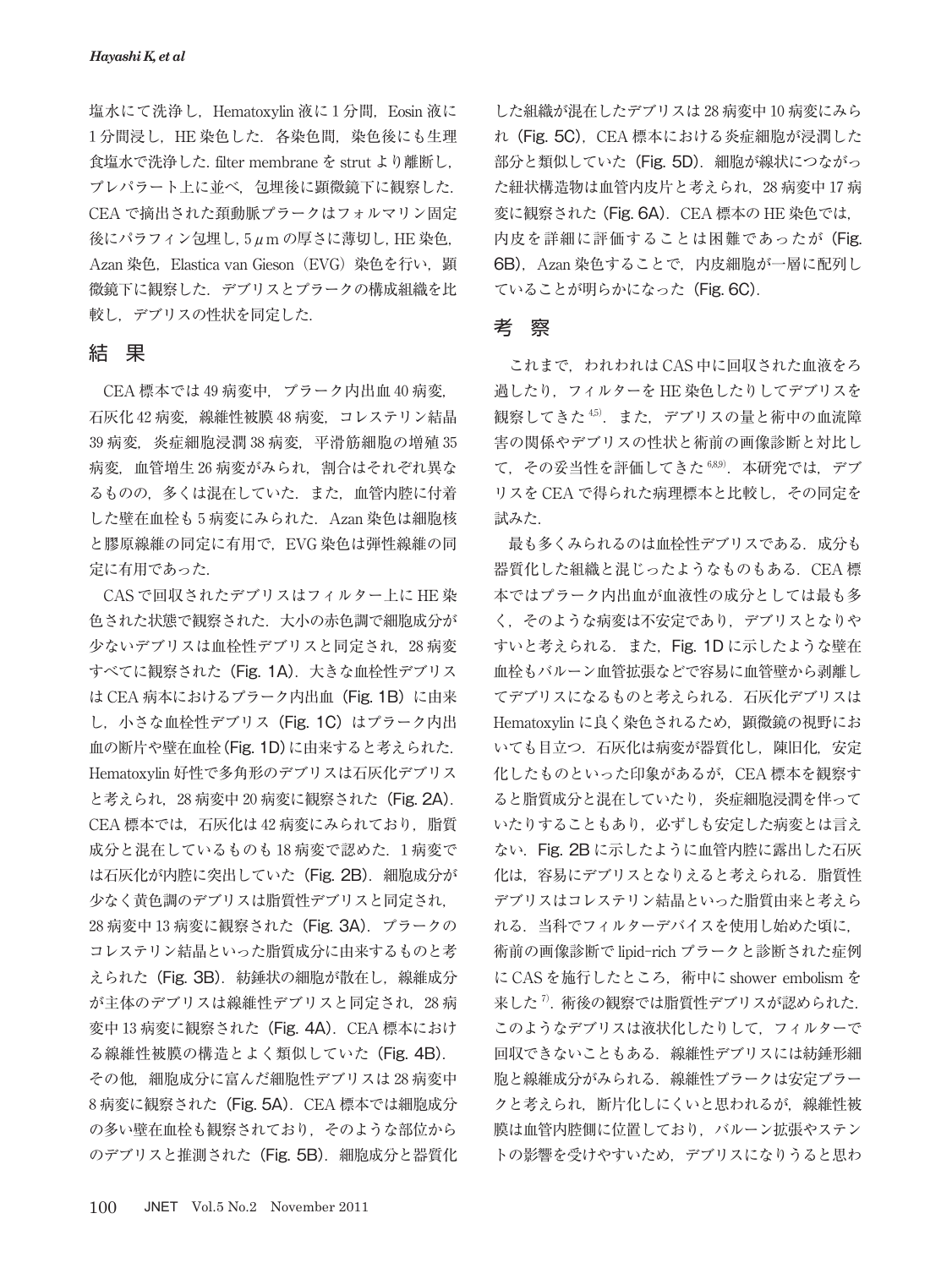塩水にて洗浄し, Hematoxylin 液に1分間, Eosin 液に 1分間浸し,HE 染色した. 各染色間, 染色後にも生理 食塩水で洗浄した. filter membrane を strut より離断し, プレパラート上に並べ,包埋後に顕微鏡下に観察した. CEA で摘出された頚動脈プラークはフォルマリン固定 後にパラフィン包埋し,5μm の厚さに薄切し,HE 染色, Azan 染色, Elastica van Gieson (EVG) 染色を行い, 顕 微鏡下に観察した.デブリスとプラークの構成組織を比 較し,デブリスの性状を同定した.

#### 結 果

CEA 標本では 49 病変中,プラーク内出血 40 病変, 石灰化 42 病変,線維性被膜 48 病変,コレステリン結晶 39 病変, 炎症細胞浸潤 38 病変, 平滑筋細胞の増殖 35 病変, 血管増生 26 病変がみられ、割合はそれぞれ異な るものの,多くは混在していた.また,血管内腔に付着 した壁在血栓も5病変にみられた. Azan 染色は細胞核 と膠原線維の同定に有用で,EVG 染色は弾性線維の同 定に有用であった.

CAS で回収されたデブリスはフィルター上に HE 染 色された状態で観察された.大小の赤色調で細胞成分が 少ないデブリスは血栓性デブリスと同定され、28 病変 すべてに観察された (Fig. 1A). 大きな血栓性デブリス は CEA 病本におけるプラーク内出血 (Fig. 1B) に由来 し, 小さな血栓性デブリス (Fig. 1C) はプラーク内出 血の断片や壁在血栓(Fig. 1D)に由来すると考えられた. Hematoxylin 好性で多角形のデブリスは石灰化デブリス と考えられ, 28 病変中 20 病変に観察された (Fig. 2A). CEA 標本では、石灰化は 42 病変にみられており, 脂質 成分と混在しているものも18病変で認めた. 1病変で は石灰化が内腔に突出していた (Fig. 2B). 細胞成分が 少なく黄色調のデブリスは脂質性デブリスと同定され, 28 病変中 13 病変に観察された(Fig. 3A).プラークの コレステリン結晶といった脂質成分に由来するものと考 えられた (Fig. 3B). 紡錘状の細胞が散在し, 線維成分 が主体のデブリスは線維性デブリスと同定され、28病 変中 13 病変に観察された (Fig. 4A). CEA 標本におけ る線維性被膜の構造とよく類似していた(Fig. 4B). その他, 細胞成分に富んだ細胞性デブリスは28病変中 8 病変に観察された (Fig. 5A). CEA 標本では細胞成分 の多い壁在血栓も観察されており,そのような部位から のデブリスと推測された (Fig. 5B). 細胞成分と器質化

した組織が混在したデブリスは 28 病変中 10 病変にみら れ (Fig. 5C), CEA 標本における炎症細胞が浸潤した 部分と類似していた (Fig. 5D). 細胞が線状につながっ た紐状構造物は血管内皮片と考えられ,28 病変中 17 病 変に観察された (Fig. 6A). CEA 標本の HE 染色では, 内皮を詳細に評価することは困難であったが (Fig. 6B). Azan 染色することで、内皮細胞が一層に配列し ていることが明らかになった(Fig. 6C).

#### 考 察

これまで、われわれは CAS 中に回収された血液をろ 過したり,フィルターを HE 染色したりしてデブリスを 観察してきた<sup>45)</sup>. また. デブリスの量と術中の血流障 害の関係やデブリスの性状と術前の画像診断と対比し て、その妥当性を評価してきた 6,8,9). 本研究では、デブ リスを CEA で得られた病理標本と比較し,その同定を 試みた.

最も多くみられるのは血栓性デブリスである.成分も 器質化した組織と混じったようなものもある.CEA 標 本ではプラーク内出血が血液性の成分としては最も多 く,そのような病変は不安定であり,デブリスとなりや すいと考えられる. また, Fig. 1D に示したような壁在 血栓もバルーン血管拡張などで容易に血管壁から剥離し てデブリスになるものと考えられる.石灰化デブリスは Hematoxylin に良く染色されるため、顕微鏡の視野にお いても目立つ. 石灰化は病変が器質化し, 陳旧化, 安定 化したものといった印象があるが,CEA 標本を観察す ると脂質成分と混在していたり,炎症細胞浸潤を伴って いたりすることもあり,必ずしも安定した病変とは言え ない.Fig. 2B に示したように血管内腔に露出した石灰 化は、容易にデブリスとなりえると考えられる. 脂質性 デブリスはコレステリン結晶といった脂質由来と考えら れる.当科でフィルターデバイスを使用し始めた頃に, 術前の画像診断で lipid-rich プラークと診断された症例 に CAS を施行したところ, 術中に shower embolism を 来した<sup>7</sup>.術後の観察では脂質性デブリスが認められた. このようなデブリスは液状化したりして,フィルターで 回収できないこともある.線維性デブリスには紡錘形細 胞と線維成分がみられる.線維性プラークは安定プラー クと考えられ,断片化しにくいと思われるが,線維性被 膜は血管内腔側に位置しており、バルーン拡張やステン トの影響を受けやすいため,デブリスになりうると思わ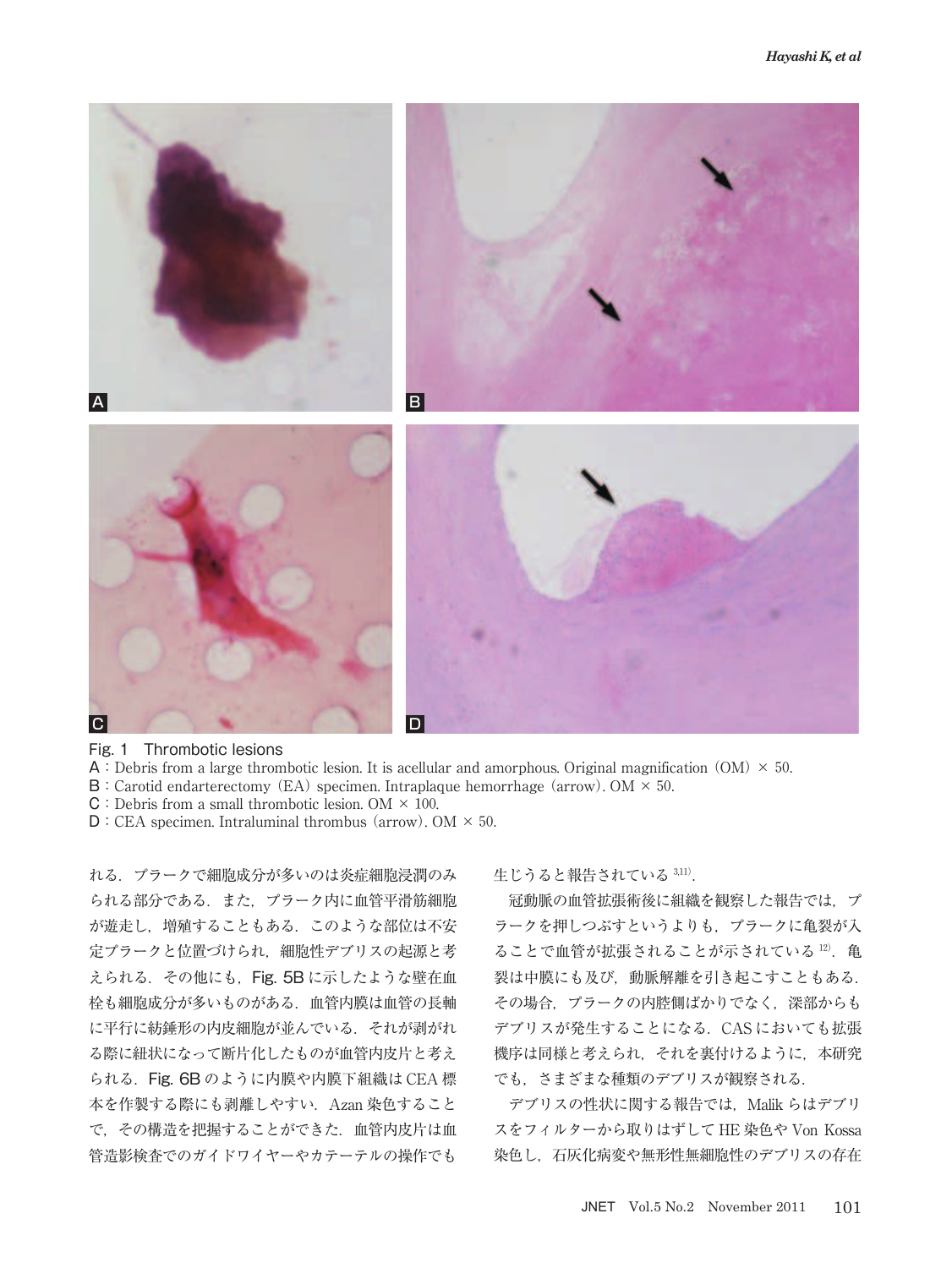

Fig. 1 Thrombotic lesions

- A: Debris from a large thrombotic lesion. It is acellular and amorphous. Original magnification (OM)  $\times$  50.
- $B:$  Carotid endarterectomy (EA) specimen. Intraplaque hemorrhage (arrow). OM  $\times$  50.
- $C:$  Debris from a small thrombotic lesion. OM  $\times$  100.
- $D:CEA$  specimen. Intraluminal thrombus (arrow). OM  $\times$  50.

れる.プラークで細胞成分が多いのは炎症細胞浸潤のみ られる部分である. また、プラーク内に血管平滑筋細胞 が遊走し,増殖することもある.このような部位は不安 定プラークと位置づけられ,細胞性デブリスの起源と考 えられる. その他にも, Fig. 5B に示したような壁在血 栓も細胞成分が多いものがある.血管内膜は血管の長軸 に平行に紡錘形の内皮細胞が並んでいる.それが剥がれ る際に紐状になって断片化したものが血管内皮片と考え られる.Fig. 6B のように内膜や内膜下組織は CEA 標 本を作製する際にも剥離しやすい. Azan 染色すること で,その構造を把握することができた.血管内皮片は血 管造影検査でのガイドワイヤーやカテーテルの操作でも

生じうると報告されている 3,11).

冠動脈の血管拡張術後に組織を観察した報告では、プ ラークを押しつぶすというよりも,プラークに亀裂が入 ることで血管が拡張されることが示されている 12). 亀 裂は中膜にも及び,動脈解離を引き起こすこともある. その場合,プラークの内腔側ばかりでなく,深部からも デブリスが発生することになる.CAS においても拡張 機序は同様と考えられ,それを裏付けるように,本研究 でも,さまざまな種類のデブリスが観察される.

デブリスの性状に関する報告では、Malik らはデブリ スをフィルターから取りはずして HE 染色や Von Kossa 染色し,石灰化病変や無形性無細胞性のデブリスの存在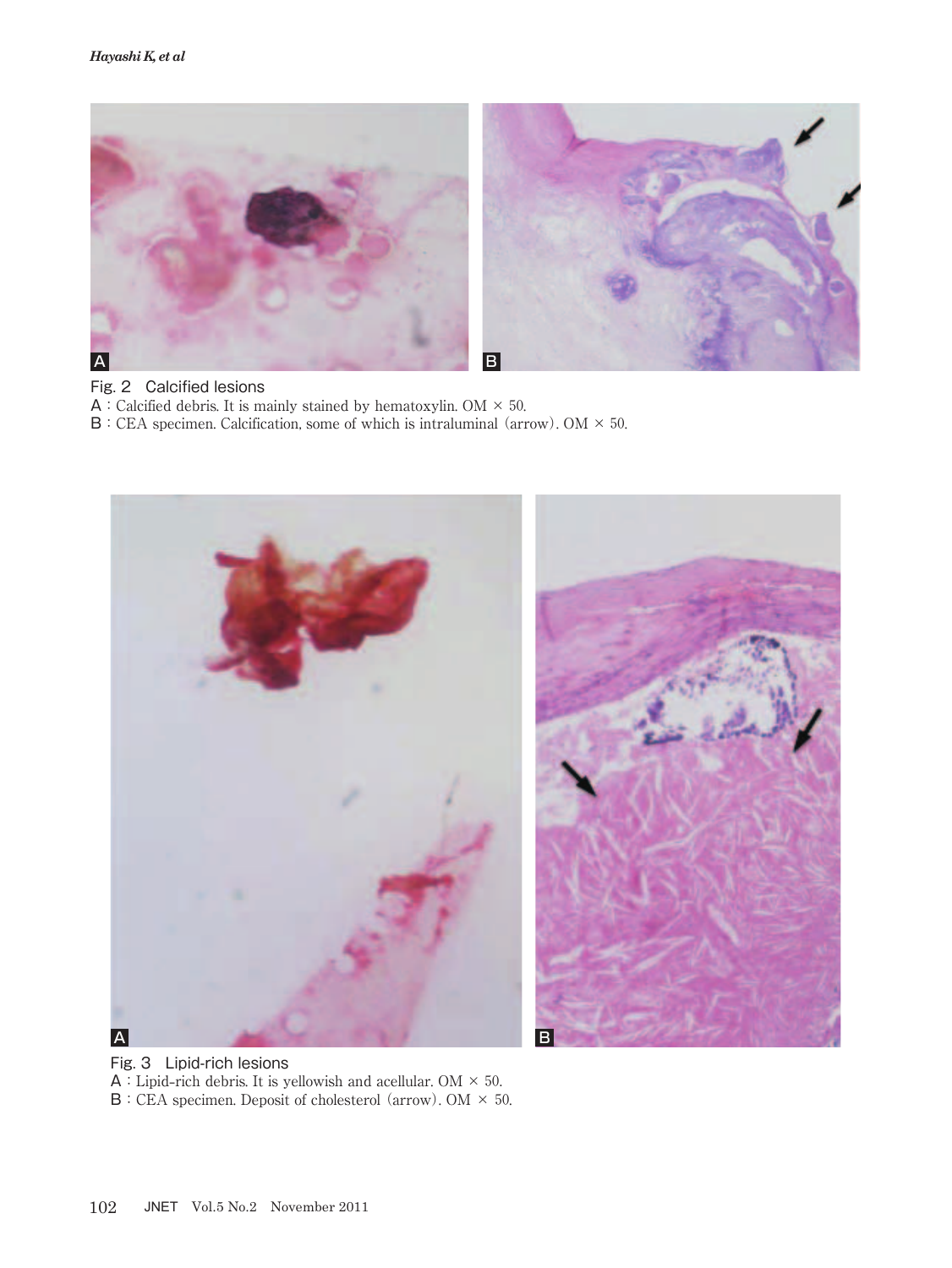

#### Fig. 2 Calcified lesions

A: Calcified debris. It is mainly stained by hematoxylin. OM  $\times$  50.

 $\mathsf{B}$ : CEA specimen. Calcification, some of which is intraluminal (arrow). OM  $\times$  50.



Fig. 3 Lipid-rich lesions A:Lipid**-**rich debris. It is yellowish and acellular. OM × 50.  $\mathsf{B}$  : CEA specimen. Deposit of cholesterol (arrow). OM  $\times$  50.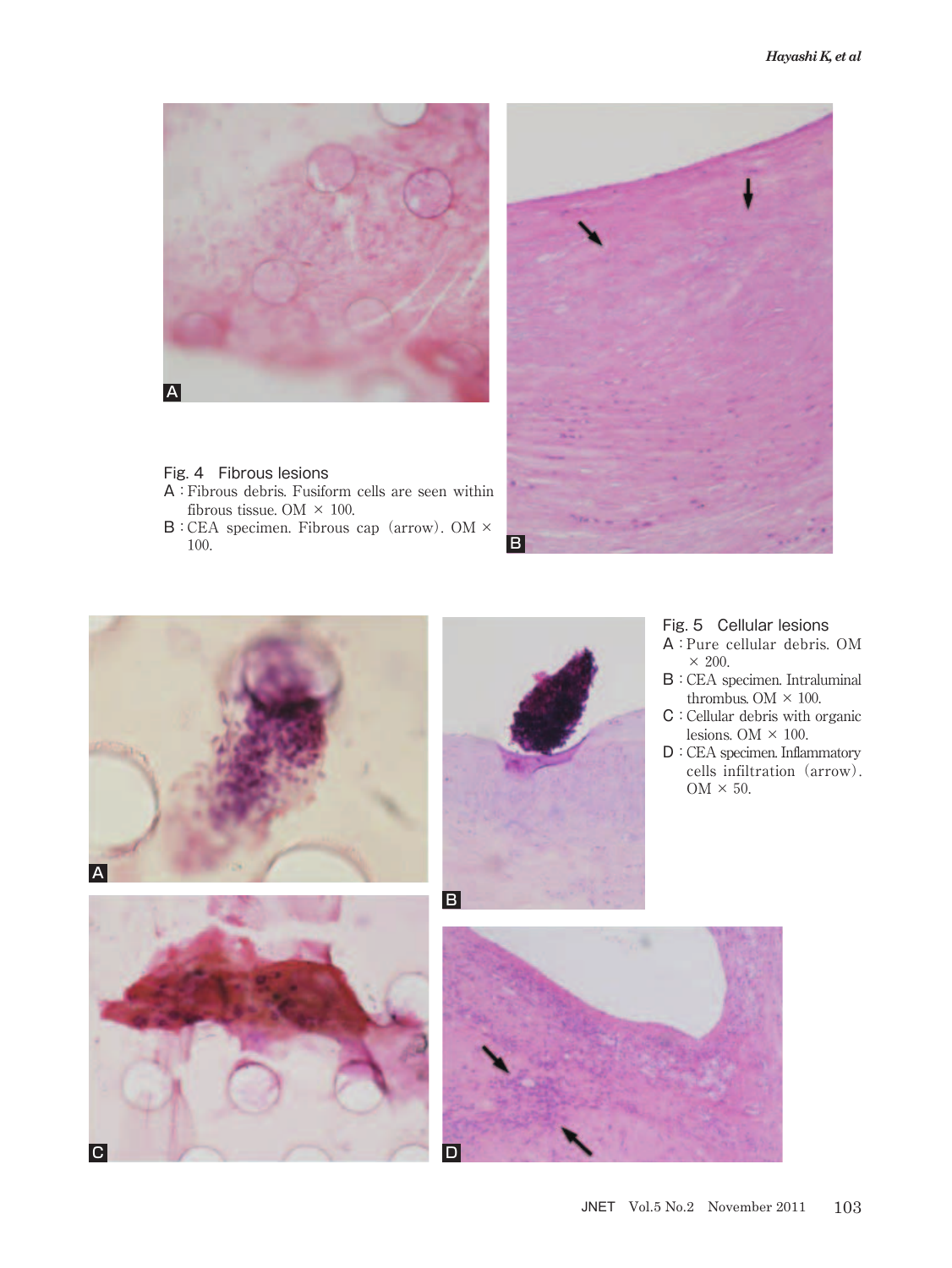

#### Fig. 4 Fibrous lesions

- A:Fibrous debris. Fusiform cells are seen within fibrous tissue. OM  $\times$  100.
- B:CEA specimen. Fibrous cap (arrow). OM × 100.



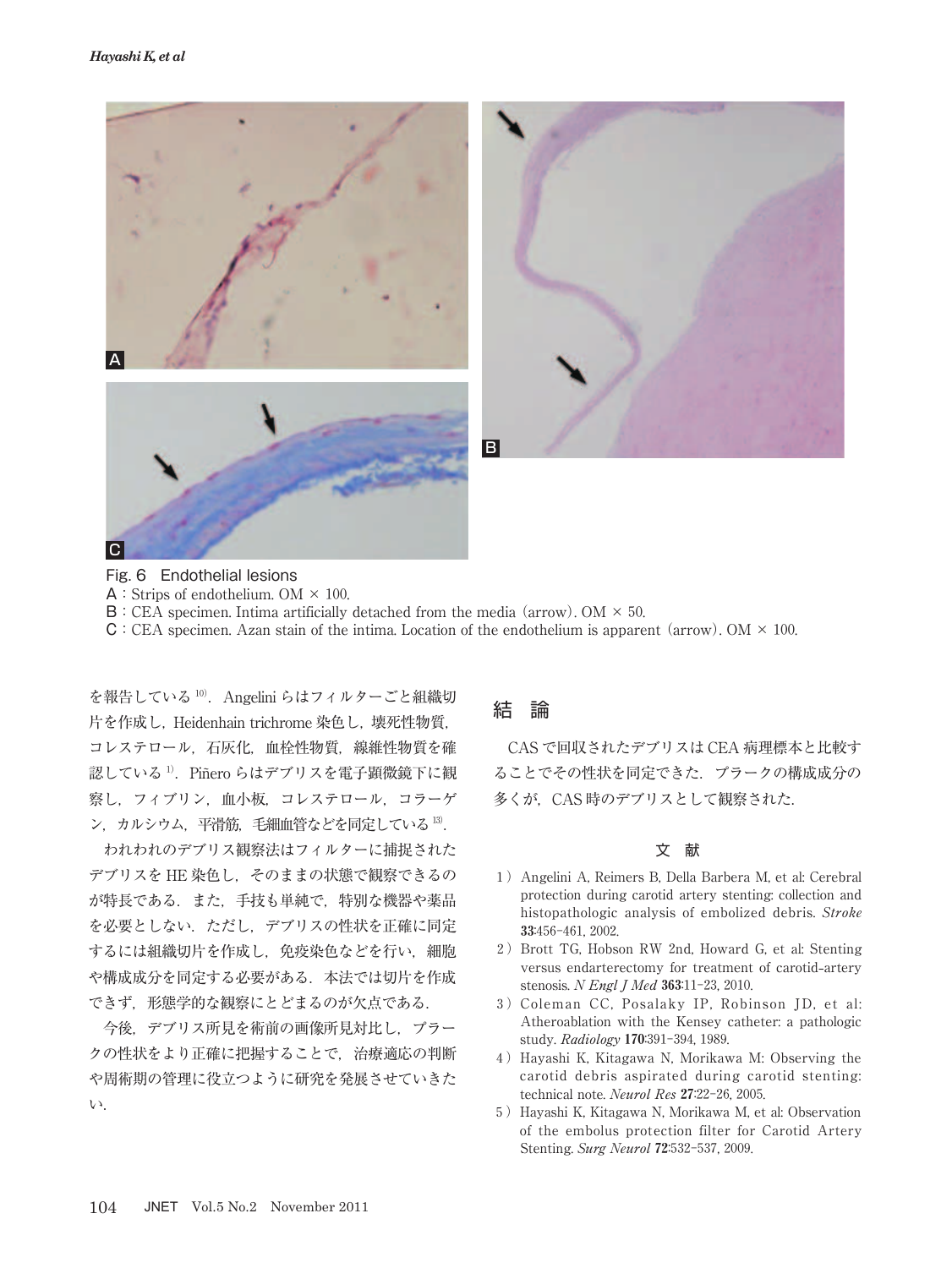



Fig. 6 Endothelial lesions

- $\mathsf{A}:$  Strips of endothelium. OM  $\times$  100.
- $\mathbf{B}$ : CEA specimen. Intima artificially detached from the media (arrow). OM  $\times$  50.
- $C:CEA$  specimen. Azan stain of the intima. Location of the endothelium is apparent (arrow). OM  $\times$  100.

を報告している 10). Angelini らはフィルターごと組織切 片を作成し, Heidenhain trichrome 染色し, 壊死性物質, コレステロール,石灰化,血栓性物質,線維性物質を確 認している<sup>1)</sup>. Piñero らはデブリスを電子顕微鏡下に観 察し,フィブリン,血小板,コレステロール,コラーゲ ン, カルシウム, 平滑筋, 毛細血管などを同定している 13.

われわれのデブリス観察法はフィルターに捕捉された デブリスを HE 染色し、そのままの状態で観察できるの が特長である.また,手技も単純で,特別な機器や薬品 を必要としない.ただし,デブリスの性状を正確に同定 するには組織切片を作成し、免疫染色などを行い、細胞 や構成成分を同定する必要がある.本法では切片を作成 できず,形態学的な観察にとどまるのが欠点である.

今後,デブリス所見を術前の画像所見対比し,プラー クの性状をより正確に把握することで,治療適応の判断 や周術期の管理に役立つように研究を発展させていきた い.

#### 結 論

CAS で回収されたデブリスは CEA 病理標本と比較す ることでその性状を同定できた.プラークの構成成分の 多くが、CAS 時のデブリスとして観察された.

#### 文 献

- 1)Angelini A, Reimers B, Della Barbera M, et al: Cerebral protection during carotid artery stenting: collection and histopathologic analysis of embolized debris. Stroke 33:456-461, 2002.
- 2) Brott TG, Hobson RW 2nd, Howard G, et al: Stenting versus endarterectomy for treatment of carotid**-**artery stenosis. N Engl J Med 363:11-23, 2010.
- 3)Coleman CC, Posalaky IP, Robinson JD, et al: Atheroablation with the Kensey catheter: a pathologic study. Radiology 170:391-394, 1989.
- 4)Hayashi K, Kitagawa N, Morikawa M: Observing the carotid debris aspirated during carotid stenting: technical note. Neurol Res 27:22-26, 2005.
- 5)Hayashi K, Kitagawa N, Morikawa M, et al: Observation of the embolus protection filter for Carotid Artery Stenting. Surg Neurol 72:532-537, 2009.